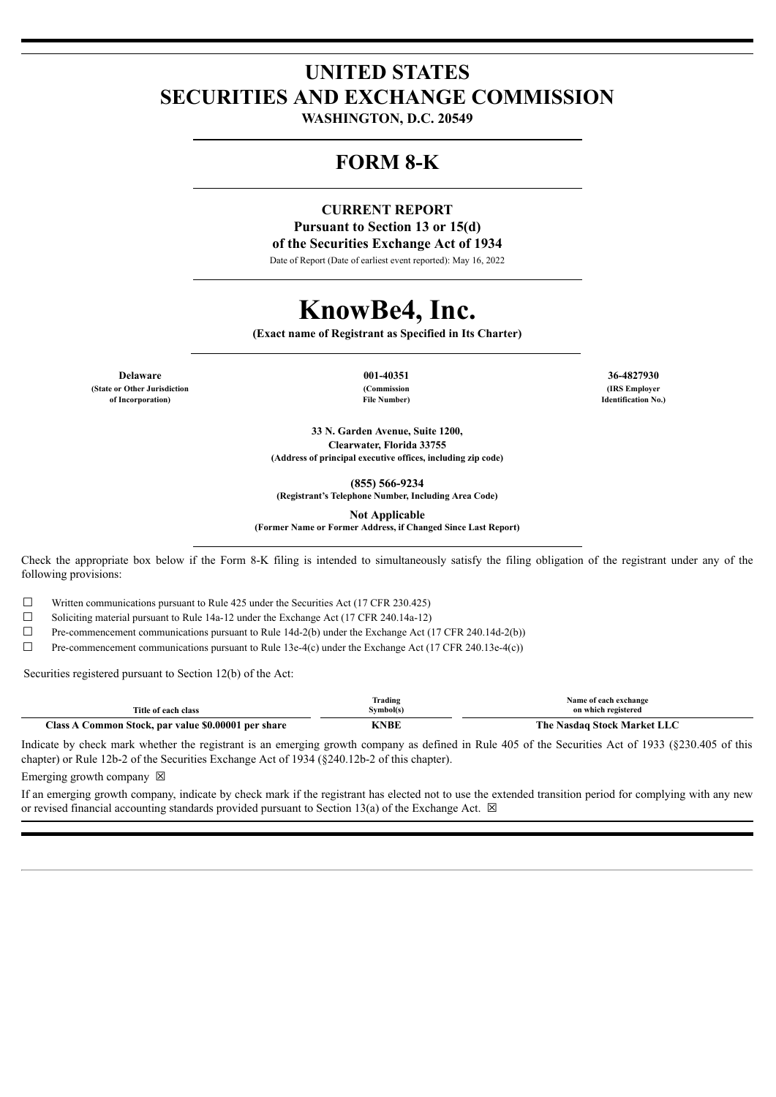## **UNITED STATES SECURITIES AND EXCHANGE COMMISSION**

**WASHINGTON, D.C. 20549**

### **FORM 8-K**

#### **CURRENT REPORT Pursuant to Section 13 or 15(d) of the Securities Exchange Act of 1934**

Date of Report (Date of earliest event reported): May 16, 2022

# **KnowBe4, Inc.**

**(Exact name of Registrant as Specified in Its Charter)**

**Delaware 001-40351 36-4827930 (State or Other Jurisdiction of Incorporation)**

**(Commission File Number)**

**(IRS Employer Identification No.)**

**33 N. Garden Avenue, Suite 1200, Clearwater, Florida 33755 (Address of principal executive offices, including zip code)**

**(855) 566-9234**

**(Registrant's Telephone Number, Including Area Code)**

**Not Applicable**

**(Former Name or Former Address, if Changed Since Last Report)**

Check the appropriate box below if the Form 8-K filing is intended to simultaneously satisfy the filing obligation of the registrant under any of the following provisions:

☐ Written communications pursuant to Rule 425 under the Securities Act (17 CFR 230.425)

 $\Box$  Soliciting material pursuant to Rule 14a-12 under the Exchange Act (17 CFR 240.14a-12)

 $\Box$  Pre-commencement communications pursuant to Rule 14d-2(b) under the Exchange Act (17 CFR 240.14d-2(b))

 $\Box$  Pre-commencement communications pursuant to Rule 13e-4(c) under the Exchange Act (17 CFR 240.13e-4(c))

Securities registered pursuant to Section 12(b) of the Act:

| Title of each class                                                          | Trading<br>Svmbol(s) | Name of each exchange<br>on which registered |
|------------------------------------------------------------------------------|----------------------|----------------------------------------------|
| $\lceil \text{lass} \rceil$<br>\ Common Stock, par value \$0.00001 per share | <b>CNBE</b>          | The Nasdaq Stock Market LLC                  |

Indicate by check mark whether the registrant is an emerging growth company as defined in Rule 405 of the Securities Act of 1933 (§230.405 of this chapter) or Rule 12b-2 of the Securities Exchange Act of 1934 (§240.12b-2 of this chapter).

Emerging growth company  $\boxtimes$ 

If an emerging growth company, indicate by check mark if the registrant has elected not to use the extended transition period for complying with any new or revised financial accounting standards provided pursuant to Section 13(a) of the Exchange Act.  $\boxtimes$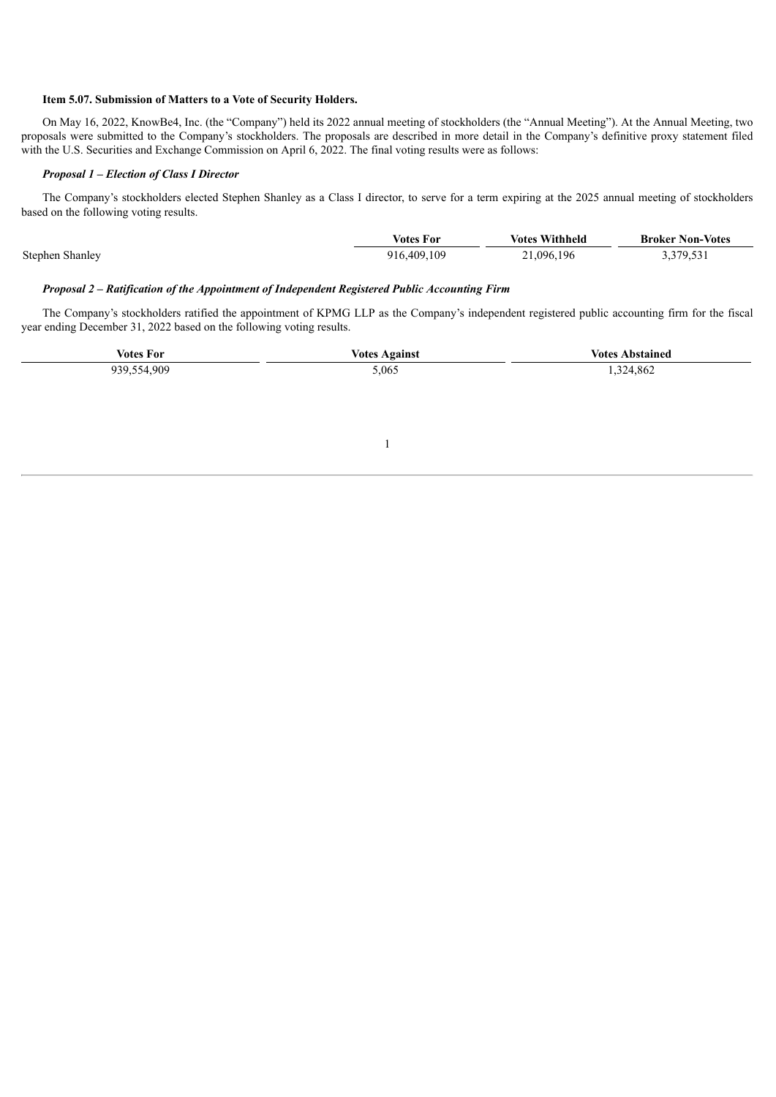#### **Item 5.07. Submission of Matters to a Vote of Security Holders.**

On May 16, 2022, KnowBe4, Inc. (the "Company") held its 2022 annual meeting of stockholders (the "Annual Meeting"). At the Annual Meeting, two proposals were submitted to the Company's stockholders. The proposals are described in more detail in the Company's definitive proxy statement filed with the U.S. Securities and Exchange Commission on April 6, 2022. The final voting results were as follows:

#### *Proposal 1 – Election of Class I Director*

The Company's stockholders elected Stephen Shanley as a Class I director, to serve for a term expiring at the 2025 annual meeting of stockholders based on the following voting results.

|                 | <b>Votes For</b> | <b>Votes Withheld</b> | <b>Broker Non-Votes</b> |
|-----------------|------------------|-----------------------|-------------------------|
| Stephen Shanley | 916.409.109      | 21,096,196            | 3,379,531               |

#### *Proposal 2 – Ratification of the Appointment of Independent Registered Public Accounting Firm*

The Company's stockholders ratified the appointment of KPMG LLP as the Company's independent registered public accounting firm for the fiscal year ending December 31, 2022 based on the following voting results.

| <b>Votes For</b> | <b>Votes Against</b> | <b>Votes Abstained</b> |
|------------------|----------------------|------------------------|
| 939,554,909      | 5,065                | 1,324,862              |